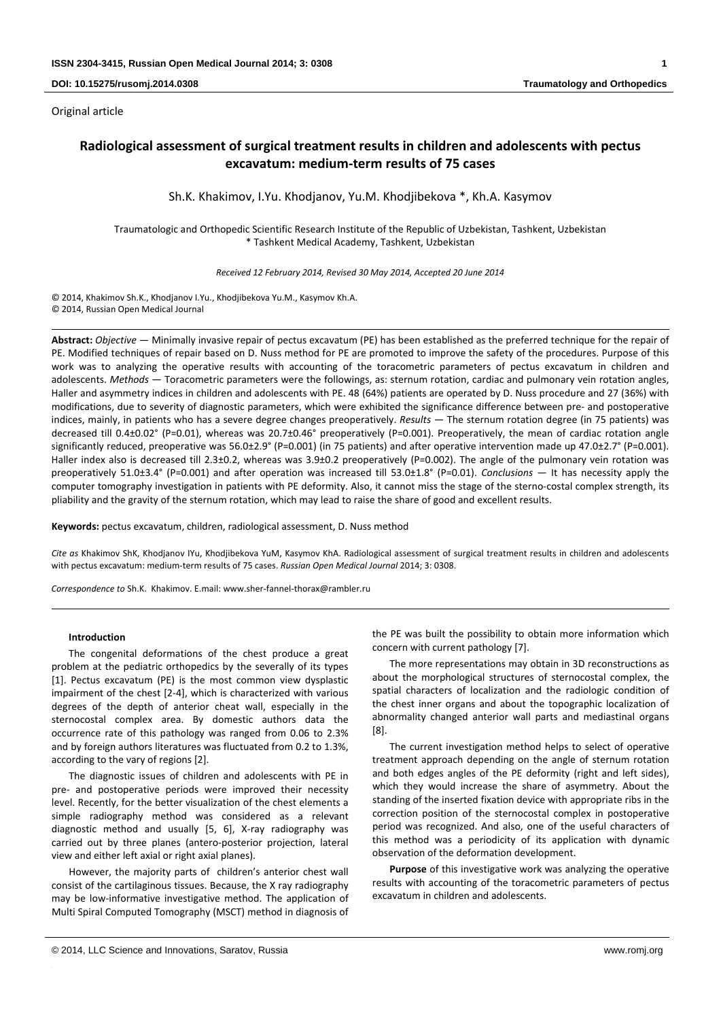Original article

# **Radiological assessment of surgical treatment results in children and adolescents with pectus excavatum: medium‐term results of 75 cases**

Sh.K. Khakimov, I.Yu. Khodjanov, Yu.M. Khodjibekova \*, Kh.A. Kasymov

Traumatologic and Orthopedic Scientific Research Institute of the Republic of Uzbekistan, Tashkent, Uzbekistan \* Tashkent Medical Academy, Tashkent, Uzbekistan

*Received 12 February 2014, Revised 30 May 2014, Accepted 20 June 2014*

© 2014, Khakimov Sh.K., Khodjanov I.Yu., Khodjibekova Yu.M., Kasymov Kh.A. © 2014, Russian Open Medical Journal

**Abstract:** *Objective* — Minimally invasive repair of pectus excavatum (PE) has been established as the preferred technique for the repair of PE. Modified techniques of repair based on D. Nuss method for PE are promoted to improve the safety of the procedures. Purpose of this work was to analyzing the operative results with accounting of the toracometric parameters of pectus excavatum in children and adolescents. *Methods* — Toracometric parameters were the followings, as: sternum rotation, cardiac and pulmonary vein rotation angles, Haller and asymmetry indices in children and adolescents with PE. 48 (64%) patients are operated by D. Nuss procedure and 27 (36%) with modifications, due to severity of diagnostic parameters, which were exhibited the significance difference between pre‐ and postoperative indices, mainly, in patients who has a severe degree changes preoperatively. *Results* — The sternum rotation degree (in 75 patients) was decreased till 0.4±0.02° (P=0.01), whereas was 20.7±0.46° preoperatively (P=0.001). Preoperatively, the mean of cardiac rotation angle significantly reduced, preoperative was 56.0±2.9° (P=0.001) (in 75 patients) and after operative intervention made up 47.0±2.7° (P=0.001). Haller index also is decreased till 2.3±0.2, whereas was 3.9±0.2 preoperatively (P=0.002). The angle of the pulmonary vein rotation was preoperatively 51.0±3.4° (P=0.001) and after operation was increased till 53.0±1.8° (P=0.01). *Conclusions* — It has necessity apply the computer tomography investigation in patients with PE deformity. Also, it cannot miss the stage of the sterno‐costal complex strength, its pliability and the gravity of the sternum rotation, which may lead to raise the share of good and excellent results.

**Keywords:** pectus excavatum, children, radiological assessment, D. Nuss method

*Cite as* Khakimov ShK, Khodjanov IYu, Khodjibekova YuM, Kasymov KhA. Radiological assessment of surgical treatment results in children and adolescents with pectus excavatum: medium‐term results of 75 cases. *Russian Open Medical Journal* 2014; 3: 0308.

*Correspondence to* Sh.K. Khakimov. E.mail: www.sher‐fannel‐thorax@rambler.ru

# **Introduction**

The congenital deformations of the chest produce a great problem at the pediatric orthopedics by the severally of its types [1]. Pectus excavatum (PE) is the most common view dysplastic impairment of the chest [2-4], which is characterized with various degrees of the depth of anterior cheat wall, especially in the sternocostal complex area. By domestic authors data the occurrence rate of this pathology was ranged from 0.06 to 2.3% and by foreign authors literatures was fluctuated from 0.2 to 1.3%, according to the vary of regions [2].

The diagnostic issues of children and adolescents with PE in pre‐ and postoperative periods were improved their necessity level. Recently, for the better visualization of the chest elements a simple radiography method was considered as a relevant diagnostic method and usually [5, 6], X‐ray radiography was carried out by three planes (antero‐posterior projection, lateral view and either left axial or right axial planes).

However, the majority parts of children's anterior chest wall consist of the cartilaginous tissues. Because, the X ray radiography may be low‐informative investigative method. The application of Multi Spiral Computed Tomography (MSCT) method in diagnosis of the PE was built the possibility to obtain more information which concern with current pathology [7].

The more representations may obtain in 3D reconstructions as about the morphological structures of sternocostal complex, the spatial characters of localization and the radiologic condition of the chest inner organs and about the topographic localization of abnormality changed anterior wall parts and mediastinal organs [8].

The current investigation method helps to select of operative treatment approach depending on the angle of sternum rotation and both edges angles of the PE deformity (right and left sides), which they would increase the share of asymmetry. About the standing of the inserted fixation device with appropriate ribs in the correction position of the sternocostal complex in postoperative period was recognized. And also, one of the useful characters of this method was a periodicity of its application with dynamic observation of the deformation development.

**Purpose** of this investigative work was analyzing the operative results with accounting of the toracometric parameters of pectus excavatum in children and adolescents.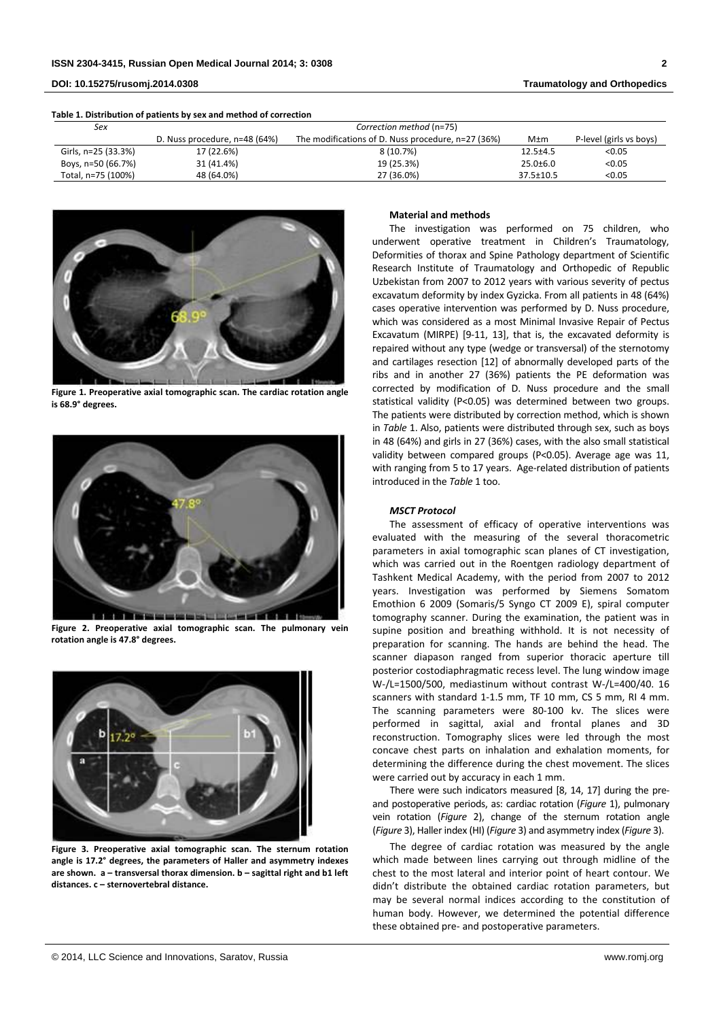| Table 1. Distribution of patients by sex and method of correction |                               |                                                    |                 |                         |  |  |  |  |  |
|-------------------------------------------------------------------|-------------------------------|----------------------------------------------------|-----------------|-------------------------|--|--|--|--|--|
| Sex                                                               | Correction method (n=75)      |                                                    |                 |                         |  |  |  |  |  |
|                                                                   | D. Nuss procedure, n=48 (64%) | The modifications of D. Nuss procedure, n=27 (36%) | $M \pm m$       | P-level (girls vs boys) |  |  |  |  |  |
| Girls, n=25 (33.3%)                                               | 17 (22.6%)                    | 8 (10.7%)                                          | $12.5 \pm 4.5$  | < 0.05                  |  |  |  |  |  |
| Boys, n=50 (66.7%)                                                | 31 (41.4%)                    | 19 (25.3%)                                         | $25.0 \pm 6.0$  | < 0.05                  |  |  |  |  |  |
| Total, n=75 (100%)                                                | 48 (64.0%)                    | 27 (36.0%)                                         | $37.5 \pm 10.5$ | < 0.05                  |  |  |  |  |  |



**Figure 1. Preoperative axial tomographic scan. The cardiac rotation angle is 68.9° degrees.**



**Figure 2. Preoperative axial tomographic scan. The pulmonary vein rotation angle is 47.8° degrees.**



**Figure 3. Preoperative axial tomographic scan. The sternum rotation angle is 17.2° degrees, the parameters of Haller and asymmetry indexes are shown. a – transversal thorax dimension. b – sagittal right and b1 left distances. c – sternovertebral distance.**

## **Material and methods**

The investigation was performed on 75 children, who underwent operative treatment in Children's Traumatology, Deformities of thorax and Spine Pathology department of Scientific Research Institute of Traumatology and Orthopedic of Republic Uzbekistan from 2007 to 2012 years with various severity of pectus excavatum deformity by index Gyzicka. From all patients in 48 (64%) cases operative intervention was performed by D. Nuss procedure, which was considered as a most Minimal Invasive Repair of Pectus Excavatum (MIRPE) [9-11, 13], that is, the excavated deformity is repaired without any type (wedge or transversal) of the sternotomy and cartilages resection [12] of abnormally developed parts of the ribs and in another 27 (36%) patients the PE deformation was corrected by modification of D. Nuss procedure and the small statistical validity (P<0.05) was determined between two groups. The patients were distributed by correction method, which is shown in *Table* 1. Also, patients were distributed through sex, such as boys in 48 (64%) and girls in 27 (36%) cases, with the also small statistical validity between compared groups (P<0.05). Average age was 11, with ranging from 5 to 17 years. Age-related distribution of patients introduced in the *Table* 1 too.

# *MSCT Protocol*

The assessment of efficacy of operative interventions was evaluated with the measuring of the several thoracometric parameters in axial tomographic scan planes of CT investigation, which was carried out in the Roentgen radiology department of Tashkent Medical Academy, with the period from 2007 to 2012 years. Investigation was performed by Siemens Somatom Emothion 6 2009 (Somaris/5 Syngo CT 2009 E), spiral computer tomography scanner. During the examination, the patient was in supine position and breathing withhold. It is not necessity of preparation for scanning. The hands are behind the head. The scanner diapason ranged from superior thoracic aperture till posterior costodiaphragmatic recess level. The lung window image W‐/L=1500/500, mediastinum without contrast W‐/L=400/40. 16 scanners with standard 1‐1.5 mm, TF 10 mm, CS 5 mm, RI 4 mm. The scanning parameters were 80-100 kv. The slices were performed in sagittal, axial and frontal planes and 3D reconstruction. Tomography slices were led through the most concave chest parts on inhalation and exhalation moments, for determining the difference during the chest movement. The slices were carried out by accuracy in each 1 mm.

There were such indicators measured [8, 14, 17] during the pre‐ and postoperative periods, as: cardiac rotation (*Figure* 1), pulmonary vein rotation (*Figure* 2), change of the sternum rotation angle (*Figure* 3), Haller index (HI) (*Figure* 3) and asymmetry index (*Figure* 3).

The degree of cardiac rotation was measured by the angle which made between lines carrying out through midline of the chest to the most lateral and interior point of heart contour. We didn't distribute the obtained cardiac rotation parameters, but may be several normal indices according to the constitution of human body. However, we determined the potential difference these obtained pre‐ and postoperative parameters.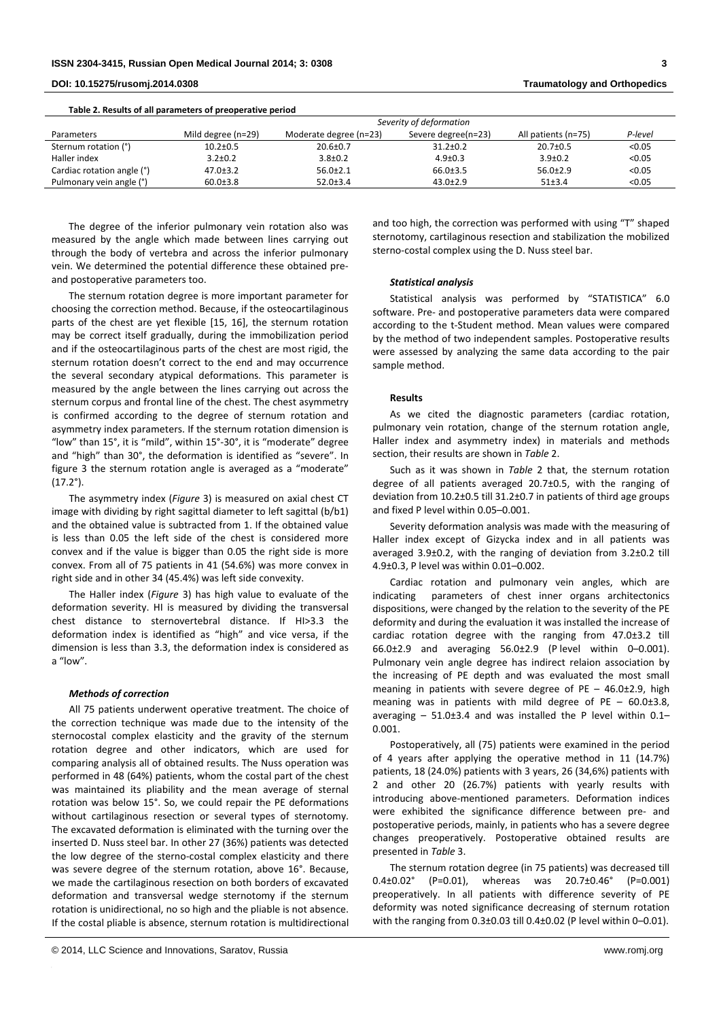| Table 2. Results of all parameters of preoperative period |                         |                        |                     |                     |         |  |  |  |  |
|-----------------------------------------------------------|-------------------------|------------------------|---------------------|---------------------|---------|--|--|--|--|
|                                                           | Severity of deformation |                        |                     |                     |         |  |  |  |  |
| Parameters                                                | Mild degree $(n=29)$    | Moderate degree (n=23) | Severe degree(n=23) | All patients (n=75) | P-level |  |  |  |  |
| Sternum rotation (°)                                      | $10.2 \pm 0.5$          | $20.6 \pm 0.7$         | $31.2 + 0.2$        | $20.7 \pm 0.5$      | < 0.05  |  |  |  |  |
| Haller index                                              | $3.2 \pm 0.2$           | $3.8 \pm 0.2$          | $4.9 + 0.3$         | $3.9 + 0.2$         | < 0.05  |  |  |  |  |
| Cardiac rotation angle (°)                                | $47.0 \pm 3.2$          | $56.0+2.1$             | $66.0+3.5$          | $56.0+2.9$          | < 0.05  |  |  |  |  |
| Pulmonary vein angle (°)                                  | $60.0 \pm 3.8$          | $52.0 \pm 3.4$         | $43.0 \pm 2.9$      | $51 + 3.4$          | < 0.05  |  |  |  |  |

The degree of the inferior pulmonary vein rotation also was measured by the angle which made between lines carrying out through the body of vertebra and across the inferior pulmonary vein. We determined the potential difference these obtained pre‐ and postoperative parameters too.

The sternum rotation degree is more important parameter for choosing the correction method. Because, if the osteocartilaginous parts of the chest are yet flexible [15, 16], the sternum rotation may be correct itself gradually, during the immobilization period and if the osteocartilaginous parts of the chest are most rigid, the sternum rotation doesn't correct to the end and may occurrence the several secondary atypical deformations. This parameter is measured by the angle between the lines carrying out across the sternum corpus and frontal line of the chest. The chest asymmetry is confirmed according to the degree of sternum rotation and asymmetry index parameters. If the sternum rotation dimension is "low" than 15°, it is "mild", within 15°‐30°, it is "moderate" degree and "high" than 30°, the deformation is identified as "severe". In figure 3 the sternum rotation angle is averaged as a "moderate"  $(17.2^{\circ})$ .

The asymmetry index (*Figure* 3) is measured on axial chest CT image with dividing by right sagittal diameter to left sagittal (b/b1) and the obtained value is subtracted from 1. If the obtained value is less than 0.05 the left side of the chest is considered more convex and if the value is bigger than 0.05 the right side is more convex. From all of 75 patients in 41 (54.6%) was more convex in right side and in other 34 (45.4%) was left side convexity.

The Haller index (*Figure* 3) has high value to evaluate of the deformation severity. HI is measured by dividing the transversal chest distance to sternovertebral distance. If HI>3.3 the deformation index is identified as "high" and vice versa, if the dimension is less than 3.3, the deformation index is considered as a "low".

## *Methods of correction*

All 75 patients underwent operative treatment. The choice of the correction technique was made due to the intensity of the sternocostal complex elasticity and the gravity of the sternum rotation degree and other indicators, which are used for comparing analysis all of obtained results. The Nuss operation was performed in 48 (64%) patients, whom the costal part of the chest was maintained its pliability and the mean average of sternal rotation was below 15°. So, we could repair the PE deformations without cartilaginous resection or several types of sternotomy. The excavated deformation is eliminated with the turning over the inserted D. Nuss steel bar. In other 27 (36%) patients was detected the low degree of the sterno‐costal complex elasticity and there was severe degree of the sternum rotation, above 16°. Because, we made the cartilaginous resection on both borders of excavated deformation and transversal wedge sternotomy if the sternum rotation is unidirectional, no so high and the pliable is not absence. If the costal pliable is absence, sternum rotation is multidirectional and too high, the correction was performed with using "T" shaped sternotomy, cartilaginous resection and stabilization the mobilized sterno‐costal complex using the D. Nuss steel bar.

## *Statistical analysis*

Statistical analysis was performed by "STATISTICA" 6.0 software. Pre‐ and postoperative parameters data were compared according to the t‐Student method. Mean values were compared by the method of two independent samples. Postoperative results were assessed by analyzing the same data according to the pair sample method.

# **Results**

As we cited the diagnostic parameters (cardiac rotation, pulmonary vein rotation, change of the sternum rotation angle, Haller index and asymmetry index) in materials and methods section, their results are shown in *Table* 2.

Such as it was shown in *Table* 2 that, the sternum rotation degree of all patients averaged 20.7±0.5, with the ranging of deviation from 10.2±0.5 till 31.2±0.7 in patients of third age groups and fixed P level within 0.05–0.001.

Severity deformation analysis was made with the measuring of Haller index except of Gizycka index and in all patients was averaged 3.9±0.2, with the ranging of deviation from 3.2±0.2 till 4.9±0.3, P level was within 0.01–0.002.

Cardiac rotation and pulmonary vein angles, which are indicating parameters of chest inner organs architectonics dispositions, were changed by the relation to the severity of the PE deformity and during the evaluation it was installed the increase of cardiac rotation degree with the ranging from 47.0±3.2 till 66.0±2.9 and averaging 56.0±2.9 (P level within 0–0.001). Pulmonary vein angle degree has indirect relaion association by the increasing of PE depth and was evaluated the most small meaning in patients with severe degree of  $PE - 46.0 \pm 2.9$ , high meaning was in patients with mild degree of  $PE - 60.0 \pm 3.8$ , averaging – 51.0±3.4 and was installed the P level within 0.1– 0.001.

Postoperatively, all (75) patients were examined in the period of 4 years after applying the operative method in 11 (14.7%) patients, 18 (24.0%) patients with 3 years, 26 (34,6%) patients with 2 and other 20 (26.7%) patients with yearly results with introducing above‐mentioned parameters. Deformation indices were exhibited the significance difference between pre‐ and postoperative periods, mainly, in patients who has a severe degree changes preoperatively. Postoperative obtained results are presented in *Table* 3.

The sternum rotation degree (in 75 patients) was decreased till 0.4±0.02° (P=0.01), whereas was 20.7±0.46° (P=0.001) preoperatively. In all patients with difference severity of PE deformity was noted significance decreasing of sternum rotation with the ranging from 0.3±0.03 till 0.4±0.02 (P level within 0–0.01).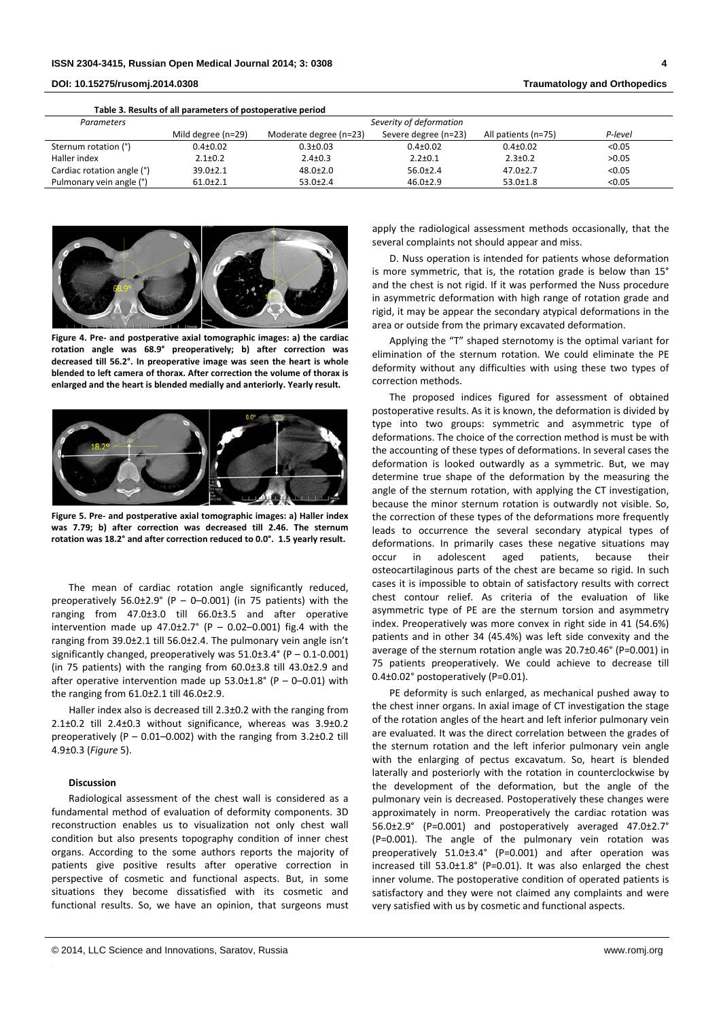| Table 3. Results of all parameters of postoperative period |                         |                        |                      |                     |         |  |  |
|------------------------------------------------------------|-------------------------|------------------------|----------------------|---------------------|---------|--|--|
| Parameters                                                 | Severity of deformation |                        |                      |                     |         |  |  |
|                                                            | Mild degree $(n=29)$    | Moderate degree (n=23) | Severe degree (n=23) | All patients (n=75) | P-level |  |  |
| Sternum rotation (°)                                       | $0.4 \pm 0.02$          | $0.3 \pm 0.03$         | $0.4 \pm 0.02$       | $0.4 \pm 0.02$      | < 0.05  |  |  |
| Haller index                                               | $2.1 \pm 0.2$           | $2.4 \pm 0.3$          | $2.2 \pm 0.1$        | $2.3 \pm 0.2$       | >0.05   |  |  |
| Cardiac rotation angle (°)                                 | $39.0 \pm 2.1$          | $48.0 \pm 2.0$         | $56.0 \pm 2.4$       | $47.0 \pm 2.7$      | < 0.05  |  |  |
| Pulmonary vein angle (°)                                   | $61.0 \pm 2.1$          | $53.0 \pm 2.4$         | $46.0 \pm 2.9$       | $53.0 \pm 1.8$      | < 0.05  |  |  |



**Figure 4. Pre‐ and postperative axial tomographic images: a) the cardiac rotation angle was 68.9° preoperatively; b) after correction was decreased till 56.2°. In preoperative image was seen the heart is whole blended to left camera of thorax. After correction the volume of thorax is enlarged and the heart is blended medially and anteriorly. Yearly result.**



**Figure 5. Pre‐ and postperative axial tomographic images: a) Haller index was 7.79; b) after correction was decreased till 2.46. The sternum rotation was 18.2° and after correction reduced to 0.0°. 1.5 yearly result.**

The mean of cardiac rotation angle significantly reduced, preoperatively  $56.0\pm2.9^{\circ}$  (P – 0–0.001) (in 75 patients) with the ranging from 47.0±3.0 till 66.0±3.5 and after operative intervention made up 47.0±2.7° (P – 0.02–0.001) fig.4 with the ranging from 39.0±2.1 till 56.0±2.4. The pulmonary vein angle isn't significantly changed, preoperatively was  $51.0\pm3.4^{\circ}$  (P – 0.1-0.001) (in 75 patients) with the ranging from 60.0±3.8 till 43.0±2.9 and after operative intervention made up  $53.0\pm1.8^\circ$  (P – 0–0.01) with the ranging from 61.0±2.1 till 46.0±2.9.

Haller index also is decreased till 2.3±0.2 with the ranging from 2.1±0.2 till 2.4±0.3 without significance, whereas was 3.9±0.2 preoperatively (P – 0.01–0.002) with the ranging from  $3.2\pm0.2$  till 4.9±0.3 (*Figure* 5).

## **Discussion**

Radiological assessment of the chest wall is considered as a fundamental method of evaluation of deformity components. 3D reconstruction enables us to visualization not only chest wall condition but also presents topography condition of inner chest organs. According to the some authors reports the majority of patients give positive results after operative correction in perspective of cosmetic and functional aspects. But, in some situations they become dissatisfied with its cosmetic and functional results. So, we have an opinion, that surgeons must

apply the radiological assessment methods occasionally, that the several complaints not should appear and miss.

D. Nuss operation is intended for patients whose deformation is more symmetric, that is, the rotation grade is below than 15° and the chest is not rigid. If it was performed the Nuss procedure in asymmetric deformation with high range of rotation grade and rigid, it may be appear the secondary atypical deformations in the area or outside from the primary excavated deformation.

Applying the "T" shaped sternotomy is the optimal variant for elimination of the sternum rotation. We could eliminate the PE deformity without any difficulties with using these two types of correction methods.

The proposed indices figured for assessment of obtained postoperative results. As it is known, the deformation is divided by type into two groups: symmetric and asymmetric type of deformations. The choice of the correction method is must be with the accounting of these types of deformations. In several cases the deformation is looked outwardly as a symmetric. But, we may determine true shape of the deformation by the measuring the angle of the sternum rotation, with applying the CT investigation, because the minor sternum rotation is outwardly not visible. So, the correction of these types of the deformations more frequently leads to occurrence the several secondary atypical types of deformations. In primarily cases these negative situations may occur in adolescent aged patients, because their osteocartilaginous parts of the chest are became so rigid. In such cases it is impossible to obtain of satisfactory results with correct chest contour relief. As criteria of the evaluation of like asymmetric type of PE are the sternum torsion and asymmetry index. Preoperatively was more convex in right side in 41 (54.6%) patients and in other 34 (45.4%) was left side convexity and the average of the sternum rotation angle was 20.7±0.46° (P=0.001) in 75 patients preoperatively. We could achieve to decrease till 0.4±0.02° postoperatively (P=0.01).

PE deformity is such enlarged, as mechanical pushed away to the chest inner organs. In axial image of CT investigation the stage of the rotation angles of the heart and left inferior pulmonary vein are evaluated. It was the direct correlation between the grades of the sternum rotation and the left inferior pulmonary vein angle with the enlarging of pectus excavatum. So, heart is blended laterally and posteriorly with the rotation in counterclockwise by the development of the deformation, but the angle of the pulmonary vein is decreased. Postoperatively these changes were approximately in norm. Preoperatively the cardiac rotation was 56.0±2.9° (P=0.001) and postoperatively averaged 47.0±2.7° (P=0.001). The angle of the pulmonary vein rotation was preoperatively 51.0±3.4° (P=0.001) and after operation was increased till 53.0±1.8° (P=0.01). It was also enlarged the chest inner volume. The postoperative condition of operated patients is satisfactory and they were not claimed any complaints and were very satisfied with us by cosmetic and functional aspects.